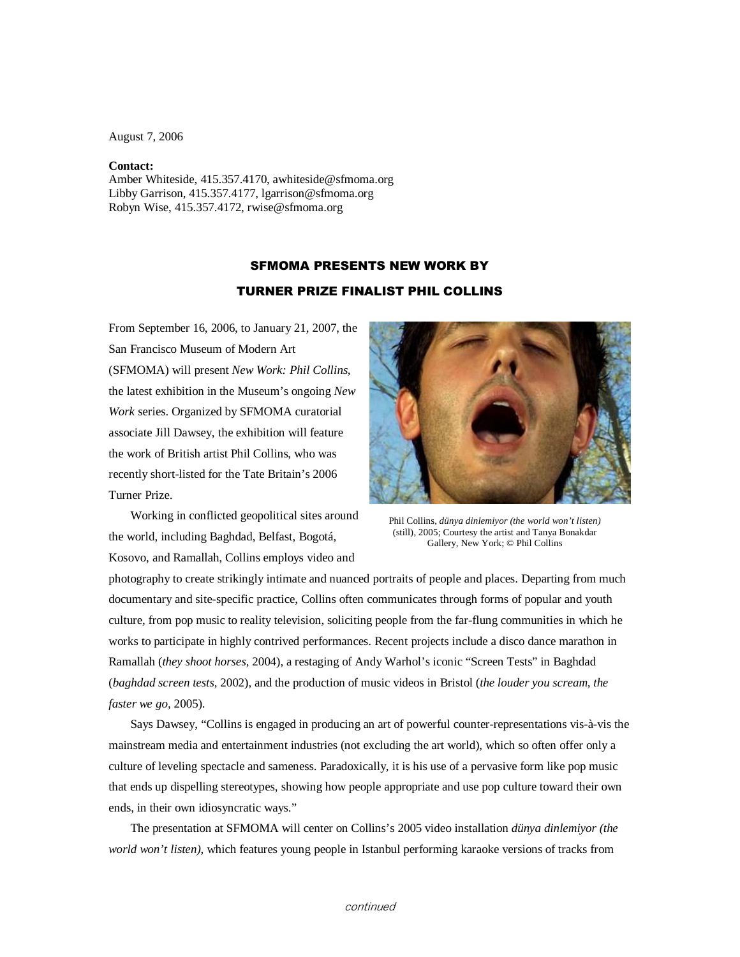August 7, 2006

## **Contact:**

Amber Whiteside, 415.357.4170, awhiteside@sfmoma.org Libby Garrison, 415.357.4177, lgarrison@sfmoma.org Robyn Wise, 415.357.4172, rwise@sfmoma.org

## SFMOMA PRESENTS NEW WORK BY

## TURNER PRIZE FINALIST PHIL COLLINS

From September 16, 2006, to January 21, 2007, the San Francisco Museum of Modern Art (SFMOMA) will present *New Work: Phil Collins,*  the latest exhibition in the Museum's ongoing *New Work* series. Organized by SFMOMA curatorial associate Jill Dawsey, the exhibition will feature the work of British artist Phil Collins, who was recently short-listed for the Tate Britain's 2006 Turner Prize.



Working in conflicted geopolitical sites around the world, including Baghdad, Belfast, Bogotá, Kosovo, and Ramallah, Collins employs video and

Phil Collins, *dünya dinlemiyor (the world won't listen)*  (still), 2005; Courtesy the artist and Tanya Bonakdar Gallery, New York; © Phil Collins

photography to create strikingly intimate and nuanced portraits of people and places. Departing from much documentary and site-specific practice, Collins often communicates through forms of popular and youth culture, from pop music to reality television, soliciting people from the far-flung communities in which he works to participate in highly contrived performances. Recent projects include a disco dance marathon in Ramallah (*they shoot horses,* 2004), a restaging of Andy Warhol's iconic "Screen Tests" in Baghdad (*baghdad screen tests,* 2002), and the production of music videos in Bristol (*the louder you scream, the faster we go,* 2005).

Says Dawsey, "Collins is engaged in producing an art of powerful counter-representations vis-à-vis the mainstream media and entertainment industries (not excluding the art world), which so often offer only a culture of leveling spectacle and sameness. Paradoxically, it is his use of a pervasive form like pop music that ends up dispelling stereotypes, showing how people appropriate and use pop culture toward their own ends, in their own idiosyncratic ways."

The presentation at SFMOMA will center on Collins's 2005 video installation *dünya dinlemiyor (the world won't listen)*, which features young people in Istanbul performing karaoke versions of tracks from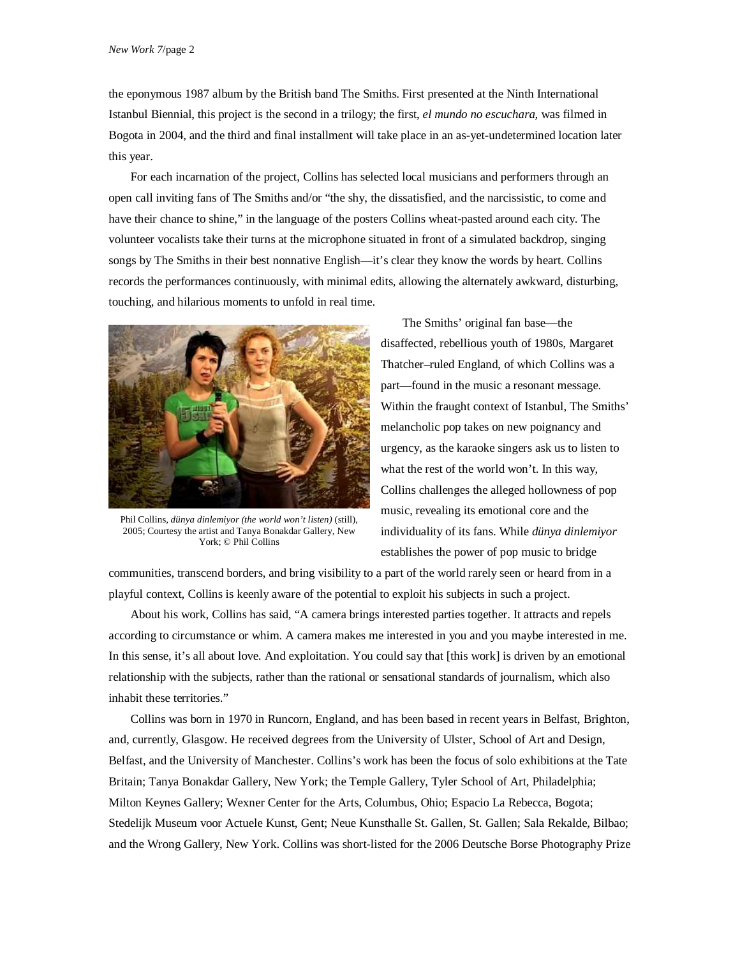the eponymous 1987 album by the British band The Smiths. First presented at the Ninth International Istanbul Biennial, this project is the second in a trilogy; the first, *el mundo no escuchara,* was filmed in Bogota in 2004, and the third and final installment will take place in an as-yet-undetermined location later this year.

For each incarnation of the project, Collins has selected local musicians and performers through an open call inviting fans of The Smiths and/or "the shy, the dissatisfied, and the narcissistic, to come and have their chance to shine," in the language of the posters Collins wheat-pasted around each city. The volunteer vocalists take their turns at the microphone situated in front of a simulated backdrop, singing songs by The Smiths in their best nonnative English—it's clear they know the words by heart. Collins records the performances continuously, with minimal edits, allowing the alternately awkward, disturbing, touching, and hilarious moments to unfold in real time.



Phil Collins, *dünya dinlemiyor (the world won't listen)* (still), 2005; Courtesy the artist and Tanya Bonakdar Gallery, New York; © Phil Collins

The Smiths' original fan base—the disaffected, rebellious youth of 1980s, Margaret Thatcher–ruled England, of which Collins was a part—found in the music a resonant message. Within the fraught context of Istanbul, The Smiths' melancholic pop takes on new poignancy and urgency, as the karaoke singers ask us to listen to what the rest of the world won't. In this way, Collins challenges the alleged hollowness of pop music, revealing its emotional core and the individuality of its fans. While *dünya dinlemiyor* establishes the power of pop music to bridge

communities, transcend borders, and bring visibility to a part of the world rarely seen or heard from in a playful context, Collins is keenly aware of the potential to exploit his subjects in such a project.

About his work, Collins has said, "A camera brings interested parties together. It attracts and repels according to circumstance or whim. A camera makes me interested in you and you maybe interested in me. In this sense, it's all about love. And exploitation. You could say that [this work] is driven by an emotional relationship with the subjects, rather than the rational or sensational standards of journalism, which also inhabit these territories."

 Collins was born in 1970 in Runcorn, England, and has been based in recent years in Belfast, Brighton, and, currently, Glasgow. He received degrees from the University of Ulster, School of Art and Design, Belfast, and the University of Manchester. Collins's work has been the focus of solo exhibitions at the Tate Britain; Tanya Bonakdar Gallery, New York; the Temple Gallery, Tyler School of Art, Philadelphia; Milton Keynes Gallery; Wexner Center for the Arts, Columbus, Ohio; Espacio La Rebecca, Bogota; Stedelijk Museum voor Actuele Kunst, Gent; Neue Kunsthalle St. Gallen, St. Gallen; Sala Rekalde, Bilbao; and the Wrong Gallery, New York. Collins was short-listed for the 2006 Deutsche Borse Photography Prize